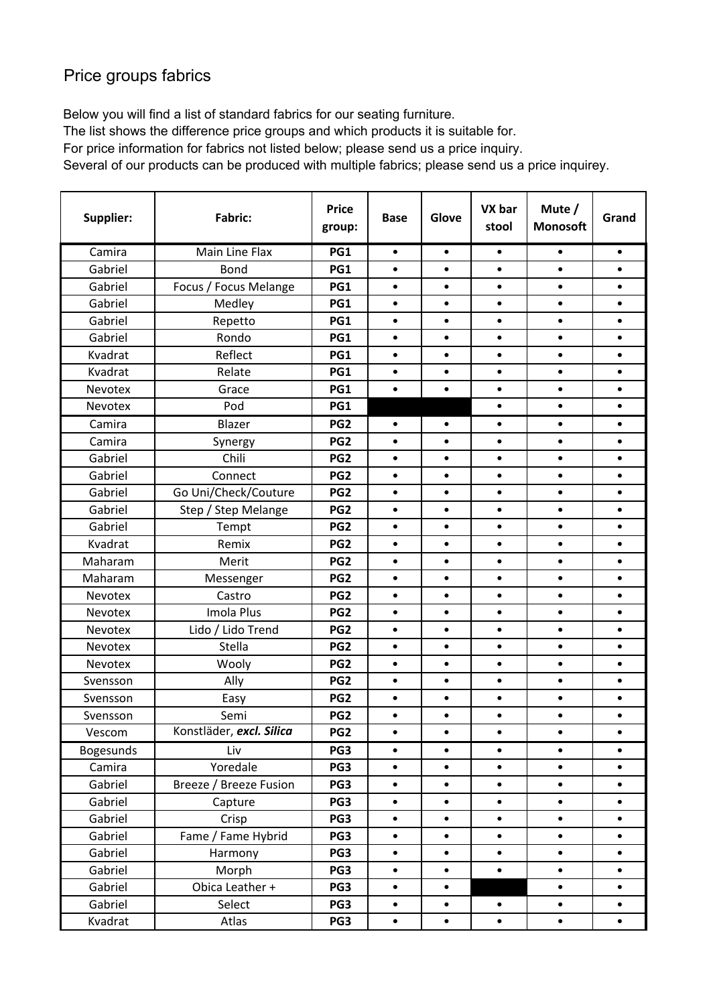## Price groups fabrics

Below you will find a list of standard fabrics for our seating furniture.

The list shows the difference price groups and which products it is suitable for.

For price information for fabrics not listed below; please send us a price inquiry.

Several of our products can be produced with multiple fabrics; please send us a price inquirey.

| <b>Supplier:</b> | Fabric:                  | <b>Price</b><br>group: | <b>Base</b> | Glove     | VX bar<br>stool | Mute /<br><b>Monosoft</b> | Grand     |
|------------------|--------------------------|------------------------|-------------|-----------|-----------------|---------------------------|-----------|
| Camira           | Main Line Flax           | PG1                    | $\bullet$   | $\bullet$ | $\bullet$       | $\bullet$                 | $\bullet$ |
| Gabriel          | <b>Bond</b>              | PG1                    | $\bullet$   | $\bullet$ | $\bullet$       | $\bullet$                 | $\bullet$ |
| Gabriel          | Focus / Focus Melange    | PG1                    | $\bullet$   | $\bullet$ | $\bullet$       | $\bullet$                 | $\bullet$ |
| Gabriel          | Medley                   | PG1                    | $\bullet$   | $\bullet$ | $\bullet$       | $\bullet$                 | $\bullet$ |
| Gabriel          | Repetto                  | PG1                    | $\bullet$   | $\bullet$ | $\bullet$       | $\bullet$                 | $\bullet$ |
| Gabriel          | Rondo                    | PG1                    | $\bullet$   | $\bullet$ | $\bullet$       | $\bullet$                 | $\bullet$ |
| Kvadrat          | Reflect                  | PG1                    | $\bullet$   | $\bullet$ | $\bullet$       | $\bullet$                 | $\bullet$ |
| Kvadrat          | Relate                   | PG1                    | $\bullet$   | $\bullet$ | $\bullet$       | $\bullet$                 | $\bullet$ |
| Nevotex          | Grace                    | PG1                    | $\bullet$   | $\bullet$ | $\bullet$       | $\bullet$                 | $\bullet$ |
| Nevotex          | Pod                      | PG1                    |             |           | $\bullet$       | $\bullet$                 | $\bullet$ |
| Camira           | Blazer                   | PG <sub>2</sub>        | $\bullet$   | $\bullet$ | $\bullet$       | $\bullet$                 | $\bullet$ |
| Camira           | Synergy                  | PG <sub>2</sub>        | $\bullet$   | $\bullet$ | $\bullet$       | $\bullet$                 | $\bullet$ |
| Gabriel          | Chili                    | PG <sub>2</sub>        | $\bullet$   | $\bullet$ | $\bullet$       | $\bullet$                 | $\bullet$ |
| Gabriel          | Connect                  | PG <sub>2</sub>        | $\bullet$   | $\bullet$ | $\bullet$       | $\bullet$                 | $\bullet$ |
| Gabriel          | Go Uni/Check/Couture     | PG <sub>2</sub>        | $\bullet$   | $\bullet$ | $\bullet$       | $\bullet$                 | $\bullet$ |
| Gabriel          | Step / Step Melange      | PG <sub>2</sub>        | $\bullet$   | $\bullet$ | $\bullet$       | $\bullet$                 | $\bullet$ |
| Gabriel          | Tempt                    | PG <sub>2</sub>        | $\bullet$   | $\bullet$ | $\bullet$       | $\bullet$                 | $\bullet$ |
| Kvadrat          | Remix                    | PG <sub>2</sub>        | $\bullet$   | $\bullet$ | $\bullet$       | $\bullet$                 | $\bullet$ |
| Maharam          | Merit                    | PG <sub>2</sub>        | $\bullet$   | $\bullet$ | $\bullet$       | $\bullet$                 | $\bullet$ |
| Maharam          | Messenger                | PG <sub>2</sub>        | $\bullet$   | $\bullet$ | $\bullet$       | $\bullet$                 | $\bullet$ |
| Nevotex          | Castro                   | PG <sub>2</sub>        | $\bullet$   | $\bullet$ | $\bullet$       | $\bullet$                 | $\bullet$ |
| Nevotex          | Imola Plus               | PG <sub>2</sub>        | $\bullet$   | $\bullet$ | $\bullet$       | $\bullet$                 | $\bullet$ |
| Nevotex          | Lido / Lido Trend        | PG <sub>2</sub>        | $\bullet$   | $\bullet$ | $\bullet$       | $\bullet$                 | $\bullet$ |
| Nevotex          | Stella                   | PG <sub>2</sub>        | $\bullet$   | $\bullet$ | $\bullet$       | $\bullet$                 | $\bullet$ |
| Nevotex          | Wooly                    | PG <sub>2</sub>        | $\bullet$   | $\bullet$ | $\bullet$       | $\bullet$                 | $\bullet$ |
| Svensson         | Ally                     | PG <sub>2</sub>        | $\bullet$   | $\bullet$ | $\bullet$       | $\bullet$                 | $\bullet$ |
| Svensson         | Easy                     | PG <sub>2</sub>        | $\bullet$   | $\bullet$ | $\bullet$       | $\bullet$                 | $\bullet$ |
| Svensson         | Semi                     | PG <sub>2</sub>        | $\bullet$   | $\bullet$ | $\bullet$       | $\bullet$                 | $\bullet$ |
| Vescom           | Konstläder, excl. Silica | PG <sub>2</sub>        | ٠           | $\bullet$ | ٠               |                           | $\bullet$ |
| <b>Bogesunds</b> | Liv                      | PG3                    | ٠           | $\bullet$ | $\bullet$       | $\bullet$                 | $\bullet$ |
| Camira           | Yoredale                 | PG3                    | $\bullet$   | $\bullet$ | $\bullet$       | $\bullet$                 | $\bullet$ |
| Gabriel          | Breeze / Breeze Fusion   | PG3                    | $\bullet$   | $\bullet$ | $\bullet$       | $\bullet$                 | $\bullet$ |
| Gabriel          | Capture                  | PG3                    | $\bullet$   | $\bullet$ | $\bullet$       | $\bullet$                 | $\bullet$ |
| Gabriel          | Crisp                    | PG3                    | $\bullet$   | $\bullet$ | $\bullet$       | $\bullet$                 | $\bullet$ |
| Gabriel          | Fame / Fame Hybrid       | PG3                    | $\bullet$   | $\bullet$ | $\bullet$       | $\bullet$                 | $\bullet$ |
| Gabriel          | Harmony                  | PG3                    | $\bullet$   | $\bullet$ | $\bullet$       | $\bullet$                 | $\bullet$ |
| Gabriel          | Morph                    | PG3                    | $\bullet$   | $\bullet$ | $\bullet$       | $\bullet$                 | $\bullet$ |
| Gabriel          | Obica Leather +          | PG3                    | $\bullet$   | $\bullet$ |                 | $\bullet$                 | $\bullet$ |
| Gabriel          | Select                   | PG3                    | $\bullet$   | $\bullet$ | $\bullet$       | $\bullet$                 | $\bullet$ |
| Kvadrat          | Atlas                    | PG3                    | $\bullet$   | $\bullet$ | $\bullet$       | $\bullet$                 | $\bullet$ |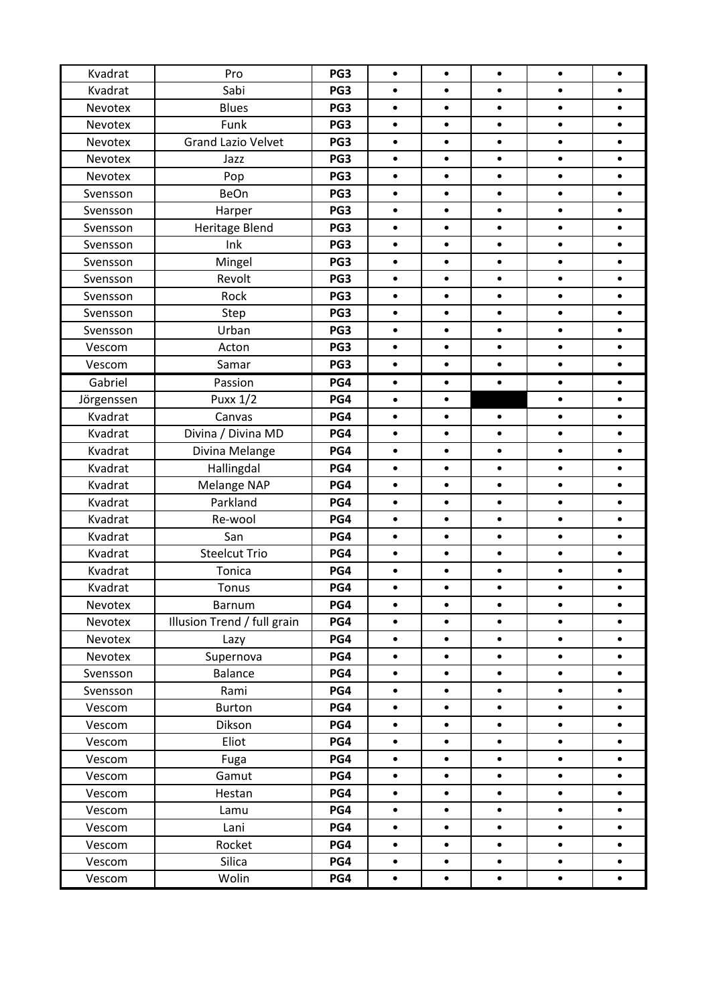| Kvadrat    | Pro                         | PG3 | $\bullet$ | $\bullet$ | $\bullet$ | $\bullet$ | $\bullet$ |
|------------|-----------------------------|-----|-----------|-----------|-----------|-----------|-----------|
| Kvadrat    | Sabi                        | PG3 | $\bullet$ | $\bullet$ | $\bullet$ | $\bullet$ | $\bullet$ |
| Nevotex    | <b>Blues</b>                | PG3 | $\bullet$ | $\bullet$ | $\bullet$ | $\bullet$ | $\bullet$ |
| Nevotex    | Funk                        | PG3 | $\bullet$ | $\bullet$ | $\bullet$ | $\bullet$ | $\bullet$ |
| Nevotex    | <b>Grand Lazio Velvet</b>   | PG3 | $\bullet$ | $\bullet$ | $\bullet$ | $\bullet$ | $\bullet$ |
| Nevotex    | Jazz                        | PG3 | $\bullet$ | $\bullet$ | $\bullet$ | $\bullet$ | $\bullet$ |
| Nevotex    | Pop                         | PG3 | $\bullet$ | $\bullet$ | $\bullet$ | $\bullet$ | $\bullet$ |
| Svensson   | BeOn                        | PG3 | $\bullet$ | $\bullet$ | $\bullet$ | $\bullet$ | $\bullet$ |
| Svensson   | Harper                      | PG3 | $\bullet$ | $\bullet$ | $\bullet$ | $\bullet$ | $\bullet$ |
| Svensson   | Heritage Blend              | PG3 | $\bullet$ | $\bullet$ | $\bullet$ | $\bullet$ | $\bullet$ |
| Svensson   | Ink                         | PG3 | $\bullet$ | $\bullet$ | $\bullet$ | $\bullet$ | $\bullet$ |
| Svensson   | Mingel                      | PG3 | $\bullet$ | $\bullet$ | $\bullet$ | $\bullet$ | $\bullet$ |
| Svensson   | Revolt                      | PG3 | $\bullet$ | $\bullet$ | $\bullet$ | $\bullet$ | $\bullet$ |
| Svensson   | Rock                        | PG3 | $\bullet$ | $\bullet$ | $\bullet$ | $\bullet$ | $\bullet$ |
| Svensson   | Step                        | PG3 | $\bullet$ | $\bullet$ | $\bullet$ | $\bullet$ | $\bullet$ |
| Svensson   | Urban                       | PG3 | $\bullet$ | $\bullet$ | $\bullet$ | $\bullet$ | $\bullet$ |
| Vescom     | Acton                       | PG3 | $\bullet$ | $\bullet$ | $\bullet$ | $\bullet$ | $\bullet$ |
| Vescom     | Samar                       | PG3 | $\bullet$ | $\bullet$ | $\bullet$ | $\bullet$ | $\bullet$ |
| Gabriel    | Passion                     | PG4 | $\bullet$ | $\bullet$ | $\bullet$ | $\bullet$ | $\bullet$ |
| Jörgenssen | <b>Puxx 1/2</b>             | PG4 | $\bullet$ | $\bullet$ |           | $\bullet$ | $\bullet$ |
| Kvadrat    | Canvas                      | PG4 | $\bullet$ | $\bullet$ | $\bullet$ | $\bullet$ | $\bullet$ |
| Kvadrat    | Divina / Divina MD          | PG4 | $\bullet$ | $\bullet$ | $\bullet$ | $\bullet$ | $\bullet$ |
| Kvadrat    | Divina Melange              | PG4 | $\bullet$ | $\bullet$ | $\bullet$ | $\bullet$ | $\bullet$ |
| Kvadrat    | Hallingdal                  | PG4 | $\bullet$ | $\bullet$ | $\bullet$ | $\bullet$ | $\bullet$ |
| Kvadrat    | Melange NAP                 | PG4 | $\bullet$ | $\bullet$ | $\bullet$ | $\bullet$ | $\bullet$ |
| Kvadrat    | Parkland                    | PG4 | $\bullet$ | $\bullet$ | $\bullet$ | $\bullet$ | $\bullet$ |
| Kvadrat    | Re-wool                     | PG4 | $\bullet$ | $\bullet$ | $\bullet$ | $\bullet$ | $\bullet$ |
| Kvadrat    | San                         | PG4 | $\bullet$ | $\bullet$ | $\bullet$ | $\bullet$ | $\bullet$ |
| Kvadrat    | <b>Steelcut Trio</b>        | PG4 | $\bullet$ | $\bullet$ | $\bullet$ | $\bullet$ | $\bullet$ |
| Kvadrat    | Tonica                      | PG4 | $\bullet$ | $\bullet$ | $\bullet$ | $\bullet$ | $\bullet$ |
| Kvadrat    | Tonus                       | PG4 | $\bullet$ | $\bullet$ | $\bullet$ | $\bullet$ | $\bullet$ |
| Nevotex    | <b>Barnum</b>               | PG4 | $\bullet$ | $\bullet$ | ٠         | $\bullet$ | ٠         |
| Nevotex    | Illusion Trend / full grain | PG4 | $\bullet$ | $\bullet$ | $\bullet$ | $\bullet$ |           |
| Nevotex    | Lazy                        | PG4 | $\bullet$ | $\bullet$ | $\bullet$ | $\bullet$ | $\bullet$ |
| Nevotex    | Supernova                   | PG4 | $\bullet$ | $\bullet$ | $\bullet$ | $\bullet$ | $\bullet$ |
| Svensson   | <b>Balance</b>              | PG4 | $\bullet$ | $\bullet$ | $\bullet$ | $\bullet$ | $\bullet$ |
| Svensson   | Rami                        | PG4 | $\bullet$ | $\bullet$ | $\bullet$ | $\bullet$ | $\bullet$ |
| Vescom     | <b>Burton</b>               | PG4 | $\bullet$ | $\bullet$ | $\bullet$ | $\bullet$ | $\bullet$ |
| Vescom     | Dikson                      | PG4 | $\bullet$ | $\bullet$ | $\bullet$ | $\bullet$ | $\bullet$ |
| Vescom     | Eliot                       | PG4 | $\bullet$ | $\bullet$ | $\bullet$ | $\bullet$ | $\bullet$ |
| Vescom     | Fuga                        | PG4 | $\bullet$ | $\bullet$ | $\bullet$ | $\bullet$ | $\bullet$ |
| Vescom     | Gamut                       | PG4 | $\bullet$ | $\bullet$ | $\bullet$ | $\bullet$ | $\bullet$ |
| Vescom     | Hestan                      | PG4 | $\bullet$ | $\bullet$ | $\bullet$ | $\bullet$ | $\bullet$ |
| Vescom     | Lamu                        | PG4 | $\bullet$ | $\bullet$ | $\bullet$ | $\bullet$ | $\bullet$ |
| Vescom     | Lani                        | PG4 | $\bullet$ | $\bullet$ | $\bullet$ | $\bullet$ | $\bullet$ |
| Vescom     | Rocket                      | PG4 | $\bullet$ | $\bullet$ | $\bullet$ | $\bullet$ | $\bullet$ |
| Vescom     | Silica                      | PG4 | $\bullet$ | $\bullet$ | $\bullet$ | $\bullet$ | $\bullet$ |
| Vescom     | Wolin                       | PG4 | ٠         | $\bullet$ | $\bullet$ | $\bullet$ | $\bullet$ |
|            |                             |     |           |           |           |           |           |